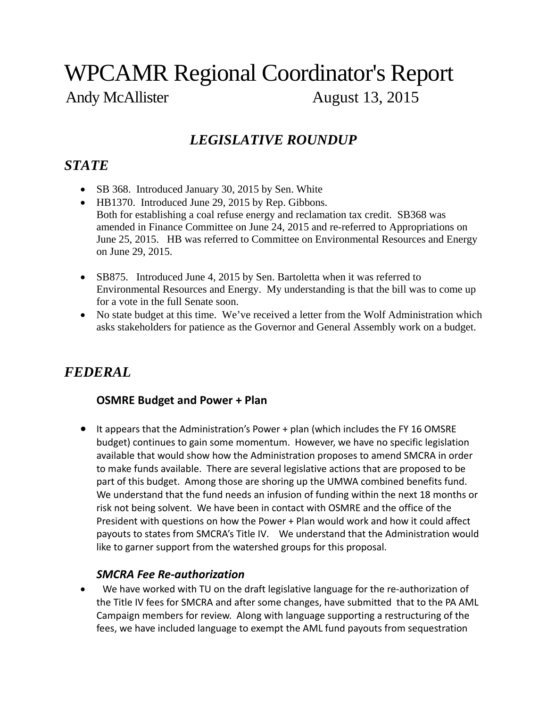# WPCAMR Regional Coordinator's Report Andy McAllister August 13, 2015

# *LEGISLATIVE ROUNDUP*

# *STATE*

- SB 368. Introduced January 30, 2015 by Sen. White
- HB1370. Introduced June 29, 2015 by Rep. Gibbons. Both for establishing a coal refuse energy and reclamation tax credit. SB368 was amended in Finance Committee on June 24, 2015 and re-referred to Appropriations on June 25, 2015. HB was referred to Committee on Environmental Resources and Energy on June 29, 2015.
- SB875. Introduced June 4, 2015 by Sen. Bartoletta when it was referred to Environmental Resources and Energy. My understanding is that the bill was to come up for a vote in the full Senate soon.
- No state budget at this time. We've received a letter from the Wolf Administration which asks stakeholders for patience as the Governor and General Assembly work on a budget.

# *FEDERAL*

### **OSMRE Budget and Power + Plan**

 It appears that the Administration's Power + plan (which includes the FY 16 OMSRE budget) continues to gain some momentum. However, we have no specific legislation available that would show how the Administration proposes to amend SMCRA in order to make funds available. There are several legislative actions that are proposed to be part of this budget. Among those are shoring up the UMWA combined benefits fund. We understand that the fund needs an infusion of funding within the next 18 months or risk not being solvent. We have been in contact with OSMRE and the office of the President with questions on how the Power + Plan would work and how it could affect payouts to states from SMCRA's Title IV. We understand that the Administration would like to garner support from the watershed groups for this proposal.

#### *SMCRA Fee Re‐authorization*

■ We have worked with TU on the draft legislative language for the re-authorization of the Title IV fees for SMCRA and after some changes, have submitted that to the PA AML Campaign members for review. Along with language supporting a restructuring of the fees, we have included language to exempt the AML fund payouts from sequestration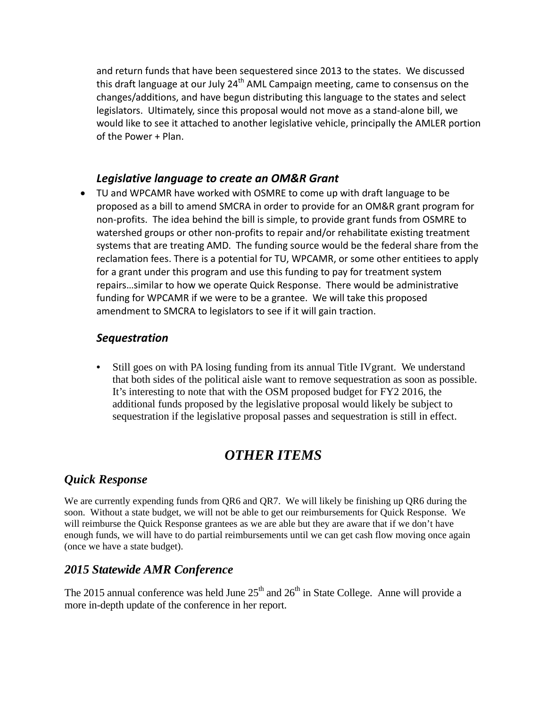and return funds that have been sequestered since 2013 to the states. We discussed this draft language at our July 24<sup>th</sup> AML Campaign meeting, came to consensus on the changes/additions, and have begun distributing this language to the states and select legislators. Ultimately, since this proposal would not move as a stand‐alone bill, we would like to see it attached to another legislative vehicle, principally the AMLER portion of the Power + Plan.

### *Legislative language to create an OM&R Grant*

 TU and WPCAMR have worked with OSMRE to come up with draft language to be proposed as a bill to amend SMCRA in order to provide for an OM&R grant program for non‐profits. The idea behind the bill is simple, to provide grant funds from OSMRE to watershed groups or other non-profits to repair and/or rehabilitate existing treatment systems that are treating AMD. The funding source would be the federal share from the reclamation fees. There is a potential for TU, WPCAMR, or some other entitiees to apply for a grant under this program and use this funding to pay for treatment system repairs…similar to how we operate Quick Response. There would be administrative funding for WPCAMR if we were to be a grantee. We will take this proposed amendment to SMCRA to legislators to see if it will gain traction.

#### *Sequestration*

• Still goes on with PA losing funding from its annual Title IV grant. We understand that both sides of the political aisle want to remove sequestration as soon as possible. It's interesting to note that with the OSM proposed budget for FY2 2016, the additional funds proposed by the legislative proposal would likely be subject to sequestration if the legislative proposal passes and sequestration is still in effect.

# *OTHER ITEMS*

### *Quick Response*

We are currently expending funds from QR6 and QR7. We will likely be finishing up QR6 during the soon. Without a state budget, we will not be able to get our reimbursements for Quick Response. We will reimburse the Quick Response grantees as we are able but they are aware that if we don't have enough funds, we will have to do partial reimbursements until we can get cash flow moving once again (once we have a state budget).

### *2015 Statewide AMR Conference*

The 2015 annual conference was held June  $25<sup>th</sup>$  and  $26<sup>th</sup>$  in State College. Anne will provide a more in-depth update of the conference in her report.